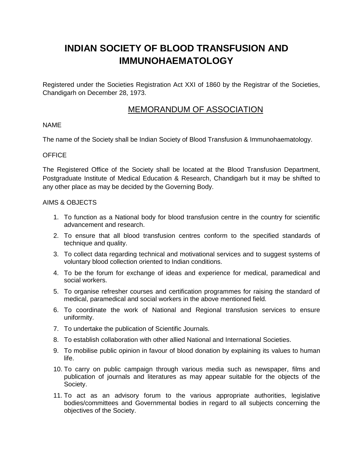# **INDIAN SOCIETY OF BLOOD TRANSFUSION AND IMMUNOHAEMATOLOGY**

Registered under the Societies Registration Act XXI of 1860 by the Registrar of the Societies, Chandigarh on December 28, 1973.

# MEMORANDUM OF ASSOCIATION

# NAME

The name of the Society shall be Indian Society of Blood Transfusion & Immunohaematology.

# **OFFICE**

The Registered Office of the Society shall be located at the Blood Transfusion Department, Postgraduate Institute of Medical Education & Research, Chandigarh but it may be shifted to any other place as may be decided by the Governing Body.

#### AIMS & OBJECTS

- 1. To function as a National body for blood transfusion centre in the country for scientific advancement and research.
- 2. To ensure that all blood transfusion centres conform to the specified standards of technique and quality.
- 3. To collect data regarding technical and motivational services and to suggest systems of voluntary blood collection oriented to Indian conditions.
- 4. To be the forum for exchange of ideas and experience for medical, paramedical and social workers.
- 5. To organise refresher courses and certification programmes for raising the standard of medical, paramedical and social workers in the above mentioned field.
- 6. To coordinate the work of National and Regional transfusion services to ensure uniformity.
- 7. To undertake the publication of Scientific Journals.
- 8. To establish collaboration with other allied National and International Societies.
- 9. To mobilise public opinion in favour of blood donation by explaining its values to human life.
- 10. To carry on public campaign through various media such as newspaper, films and publication of journals and literatures as may appear suitable for the objects of the Society.
- 11. To act as an advisory forum to the various appropriate authorities, legislative bodies/committees and Governmental bodies in regard to all subjects concerning the objectives of the Society.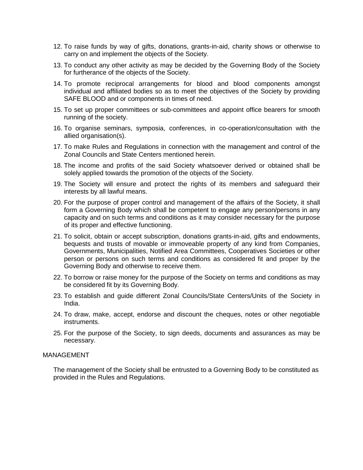- 12. To raise funds by way of gifts, donations, grants-in-aid, charity shows or otherwise to carry on and implement the objects of the Society.
- 13. To conduct any other activity as may be decided by the Governing Body of the Society for furtherance of the objects of the Society.
- 14. To promote reciprocal arrangements for blood and blood components amongst individual and affiliated bodies so as to meet the objectives of the Society by providing SAFE BLOOD and or components in times of need.
- 15. To set up proper committees or sub-committees and appoint office bearers for smooth running of the society.
- 16. To organise seminars, symposia, conferences, in co-operation/consultation with the allied organisation(s).
- 17. To make Rules and Regulations in connection with the management and control of the Zonal Councils and State Centers mentioned herein.
- 18. The income and profits of the said Society whatsoever derived or obtained shall be solely applied towards the promotion of the objects of the Society.
- 19. The Society will ensure and protect the rights of its members and safeguard their interests by all lawful means.
- 20. For the purpose of proper control and management of the affairs of the Society, it shall form a Governing Body which shall be competent to engage any person/persons in any capacity and on such terms and conditions as it may consider necessary for the purpose of its proper and effective functioning.
- 21. To solicit, obtain or accept subscription, donations grants-in-aid, gifts and endowments, bequests and trusts of movable or immoveable property of any kind from Companies, Governments, Municipalities, Notified Area Committees, Cooperatives Societies or other person or persons on such terms and conditions as considered fit and proper by the Governing Body and otherwise to receive them.
- 22. To borrow or raise money for the purpose of the Society on terms and conditions as may be considered fit by its Governing Body.
- 23. To establish and guide different Zonal Councils/State Centers/Units of the Society in India.
- 24. To draw, make, accept, endorse and discount the cheques, notes or other negotiable instruments.
- 25. For the purpose of the Society, to sign deeds, documents and assurances as may be necessary.

#### MANAGEMENT

The management of the Society shall be entrusted to a Governing Body to be constituted as provided in the Rules and Regulations.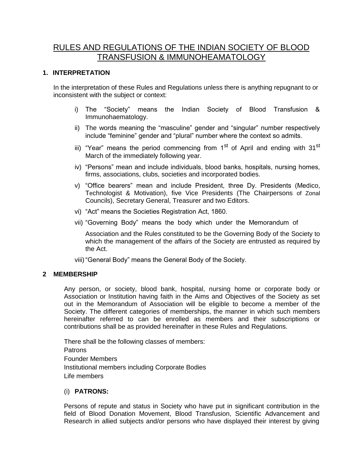# RULES AND REGULATIONS OF THE INDIAN SOCIETY OF BLOOD TRANSFUSION & IMMUNOHEAMATOLOGY

# **1. INTERPRETATION**

In the interpretation of these Rules and Regulations unless there is anything repugnant to or inconsistent with the subject or context:

- i) The "Society" means the Indian Society of Blood Transfusion & Immunohaematology.
- ii) The words meaning the "masculine" gender and "singular" number respectively include "feminine" gender and "plural" number where the context so admits.
- iii) "Year" means the period commencing from 1<sup>st</sup> of April and ending with 31<sup>st</sup> March of the immediately following year.
- iv) "Persons" mean and include individuals, blood banks, hospitals, nursing homes, firms, associations, clubs, societies and incorporated bodies.
- v) "Office bearers" mean and include President, three Dy. Presidents (Medico, Technologist & Motivation), five Vice Presidents (The Chairpersons of Zonal Councils), Secretary General, Treasurer and two Editors.
- vi) "Act" means the Societies Registration Act, 1860.
- vii) "Governing Body" means the body which under the Memorandum of

Association and the Rules constituted to be the Governing Body of the Society to which the management of the affairs of the Society are entrusted as required by the Act.

viii)"General Body" means the General Body of the Society.

#### **2 MEMBERSHIP**

Any person, or society, blood bank, hospital, nursing home or corporate body or Association or Institution having faith in the Aims and Objectives of the Society as set out in the Memorandum of Association will be eligible to become a member of the Society. The different categories of memberships, the manner in which such members hereinafter referred to can be enrolled as members and their subscriptions or contributions shall be as provided hereinafter in these Rules and Regulations.

There shall be the following classes of members: Patrons Founder Members Institutional members including Corporate Bodies Life members

#### (i) **PATRONS:**

Persons of repute and status in Society who have put in significant contribution in the field of Blood Donation Movement, Blood Transfusion, Scientific Advancement and Research in allied subjects and/or persons who have displayed their interest by giving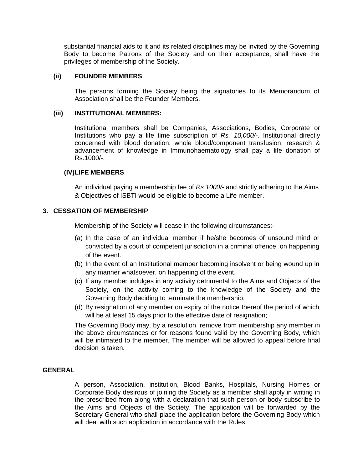substantial financial aids to it and its related disciplines may be invited by the Governing Body to become Patrons of the Society and on their acceptance, shall have the privileges of membership of the Society.

# **(ii) FOUNDER MEMBERS**

The persons forming the Society being the signatories to its Memorandum of Association shall be the Founder Members.

#### **(iii) INSTITUTIONAL MEMBERS:**

Institutional members shall be Companies, Associations, Bodies, Corporate or Institutions who pay a life time subscription of *Rs. 10,000/-.* Institutional directly concerned with blood donation, whole blood/component transfusion, research & advancement of knowledge in Immunohaematology shall pay a life donation of Rs.1000/-.

#### **(IV)LIFE MEMBERS**

An individual paying a membership fee of *Rs 1000/-* and strictly adhering to the Aims & Objectives of ISBTI would be eligible to become a Life member.

#### **3. CESSATION OF MEMBERSHIP**

Membership of the Society will cease in the following circumstances:-

- (a) In the case of an individual member if he/she becomes of unsound mind or convicted by a court of competent jurisdiction in a criminal offence, on happening of the event.
- (b) In the event of an Institutional member becoming insolvent or being wound up in any manner whatsoever, on happening of the event.
- (c) If any member indulges in any activity detrimental to the Aims and Objects of the Society, on the activity coming to the knowledge of the Society and the Governing Body deciding to terminate the membership.
- (d) By resignation of any member on expiry of the notice thereof the period of which will be at least 15 days prior to the effective date of resignation;

The Governing Body may, by a resolution, remove from membership any member in the above circumstances or for reasons found valid by the Governing Body, which will be intimated to the member. The member will be allowed to appeal before final decision is taken.

# **GENERAL**

A person, Association, institution, Blood Banks, Hospitals, Nursing Homes or Corporate Body desirous of joining the Society as a member shall apply in writing in the prescribed from along with a declaration that such person or body subscribe to the Aims and Objects of the Society. The application will be forwarded by the Secretary General who shall place the application before the Governing Body which will deal with such application in accordance with the Rules.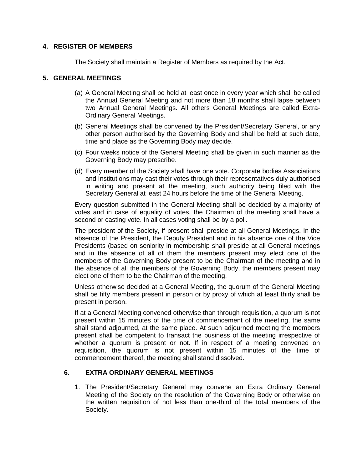# **4. REGISTER OF MEMBERS**

The Society shall maintain a Register of Members as required by the Act.

# **5. GENERAL MEETINGS**

- (a) A General Meeting shall be held at least once in every year which shall be called the Annual General Meeting and not more than 18 months shall lapse between two Annual General Meetings. All others General Meetings are called Extra-Ordinary General Meetings.
- (b) General Meetings shall be convened by the President/Secretary General, or any other person authorised by the Governing Body and shall be held at such date, time and place as the Governing Body may decide.
- (c) Four weeks notice of the General Meeting shall be given in such manner as the Governing Body may prescribe.
- (d) Every member of the Society shall have one vote. Corporate bodies Associations and Institutions may cast their votes through their representatives duly authorised in writing and present at the meeting, such authority being filed with the Secretary General at least 24 hours before the time of the General Meeting.

Every question submitted in the General Meeting shall be decided by a majority of votes and in case of equality of votes, the Chairman of the meeting shall have a second or casting vote. In all cases voting shall be by a poll.

The president of the Society, if present shall preside at all General Meetings. In the absence of the President, the Deputy President and in his absence one of the Vice Presidents (based on seniority in membership shall preside at all General meetings and in the absence of all of them the members present may elect one of the members of the Governing Body present to be the Chairman of the meeting and in the absence of all the members of the Governing Body, the members present may elect one of them to be the Chairman of the meeting.

Unless otherwise decided at a General Meeting, the quorum of the General Meeting shall be fifty members present in person or by proxy of which at least thirty shall be present in person.

If at a General Meeting convened otherwise than through requisition, a quorum is not present within 15 minutes of the time of commencement of the meeting, the same shall stand adjourned, at the same place. At such adjourned meeting the members present shall be competent to transact the business of the meeting irrespective of whether a quorum is present or not. If in respect of a meeting convened on requisition, the quorum is not present within 15 minutes of the time of commencement thereof, the meeting shall stand dissolved.

# **6. EXTRA ORDINARY GENERAL MEETINGS**

1. The President/Secretary General may convene an Extra Ordinary General Meeting of the Society on the resolution of the Governing Body or otherwise on the written requisition of not less than one-third of the total members of the Society.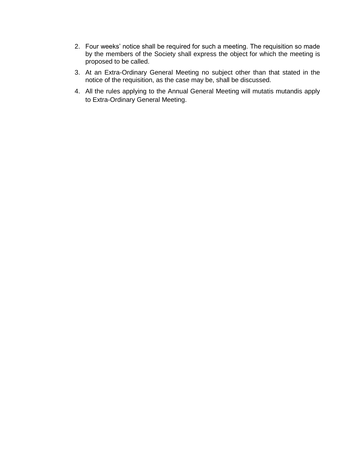- 2. Four weeks' notice shall be required for such a meeting. The requisition so made by the members of the Society shall express the object for which the meeting is proposed to be called.
- 3. At an Extra-Ordinary General Meeting no subject other than that stated in the notice of the requisition, as the case may be, shall be discussed.
- 4. All the rules applying to the Annual General Meeting will mutatis mutandis apply to Extra-Ordinary General Meeting.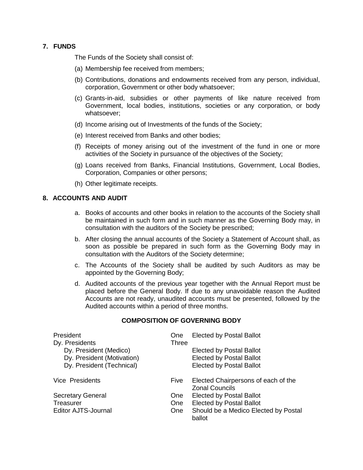# **7. FUNDS**

The Funds of the Society shall consist of:

- (a) Membership fee received from members;
- (b) Contributions, donations and endowments received from any person, individual, corporation, Government or other body whatsoever;
- (c) Grants-in-aid, subsidies or other payments of like nature received from Government, local bodies, institutions, societies or any corporation, or body whatsoever;
- (d) Income arising out of Investments of the funds of the Society;
- (e) Interest received from Banks and other bodies;
- (f) Receipts of money arising out of the investment of the fund in one or more activities of the Society in pursuance of the objectives of the Society;
- (g) Loans received from Banks, Financial Institutions, Government, Local Bodies, Corporation, Companies or other persons;
- (h) Other legitimate receipts.

#### **8. ACCOUNTS AND AUDIT**

- a. Books of accounts and other books in relation to the accounts of the Society shall be maintained in such form and in such manner as the Governing Body may, in consultation with the auditors of the Society be prescribed;
- b. After closing the annual accounts of the Society a Statement of Account shall, as soon as possible be prepared in such form as the Governing Body may in consultation with the Auditors of the Society determine;
- c. The Accounts of the Society shall be audited by such Auditors as may be appointed by the Governing Body;
- d. Audited accounts of the previous year together with the Annual Report must be placed before the General Body. If due to any unavoidable reason the Audited Accounts are not ready, unaudited accounts must be presented, followed by the Audited accounts within a period of three months.

#### **COMPOSITION OF GOVERNING BODY**

| President<br>Dy. Presidents | <b>One</b><br>Three | <b>Elected by Postal Ballot</b>                              |
|-----------------------------|---------------------|--------------------------------------------------------------|
| Dy. President (Medico)      |                     | <b>Elected by Postal Ballot</b>                              |
| Dy. President (Motivation)  |                     | <b>Elected by Postal Ballot</b>                              |
| Dy. President (Technical)   |                     | <b>Elected by Postal Ballot</b>                              |
| Vice Presidents             | <b>Five</b>         | Elected Chairpersons of each of the<br><b>Zonal Councils</b> |
| <b>Secretary General</b>    | <b>One</b>          | <b>Elected by Postal Ballot</b>                              |
| Treasurer                   | One                 | <b>Elected by Postal Ballot</b>                              |
| <b>Editor AJTS-Journal</b>  | One                 | Should be a Medico Elected by Postal<br>ballot               |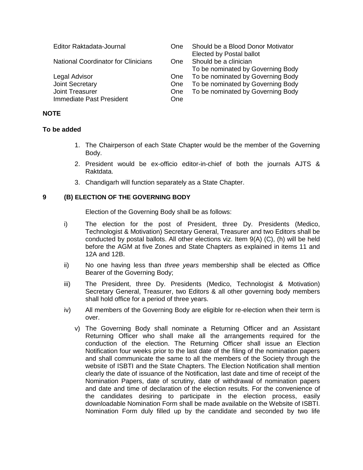| Editor Raktadata-Journal                   | One  | Should be a Blood Donor Motivator<br>Elected by Postal ballot |
|--------------------------------------------|------|---------------------------------------------------------------|
| <b>National Coordinator for Clinicians</b> | One. | Should be a clinician<br>To be nominated by Governing Body    |
| Legal Advisor                              | One  | To be nominated by Governing Body                             |
| Joint Secretary                            | One  | To be nominated by Governing Body                             |
| <b>Joint Treasurer</b>                     | One  | To be nominated by Governing Body                             |
| Immediate Past President                   | One  |                                                               |

#### **NOTE**

#### **To be added**

- 1. The Chairperson of each State Chapter would be the member of the Governing Body.
- 2. President would be ex-officio editor-in-chief of both the journals AJTS & Raktdata.
- 3. Chandigarh will function separately as a State Chapter.

#### **9 (B) ELECTION OF THE GOVERNING BODY**

Election of the Governing Body shall be as follows:

- i) The election for the post of President, three Dy. Presidents (Medico, Technologist & Motivation) Secretary General, Treasurer and two Editors shall be conducted by postal ballots. All other elections viz. Item 9(A) (C), (h) will be held before the AGM at five Zones and State Chapters as explained in items 11 and 12A and 12B.
- ii) No one having less than *three years* membership shall be elected as Office Bearer of the Governing Body;
- iii) The President, three Dy. Presidents (Medico, Technologist & Motivation) Secretary General, Treasurer, two Editors & all other governing body members shall hold office for a period of three years.
- iv) All members of the Governing Body are eligible for re-election when their term is over.
	- v) The Governing Body shall nominate a Returning Officer and an Assistant Returning Officer who shall make all the arrangements required for the conduction of the election. The Returning Officer shall issue an Election Notification four weeks prior to the last date of the filing of the nomination papers and shall communicate the same to all the members of the Society through the website of ISBTI and the State Chapters. The Election Notification shall mention clearly the date of issuance of the Notification, last date and time of receipt of the Nomination Papers, date of scrutiny, date of withdrawal of nomination papers and date and time of declaration of the election results. For the convenience of the candidates desiring to participate in the election process, easily downloadable Nomination Form shall be made available on the Website of ISBTI. Nomination Form duly filled up by the candidate and seconded by two life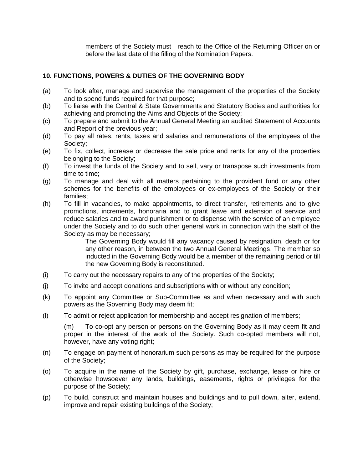members of the Society must reach to the Office of the Returning Officer on or before the last date of the filling of the Nomination Papers.

# **10. FUNCTIONS, POWERS & DUTIES OF THE GOVERNING BODY**

- (a) To look after, manage and supervise the management of the properties of the Society and to spend funds required for that purpose;
- (b) To liaise with the Central & State Governments and Statutory Bodies and authorities for achieving and promoting the Aims and Objects of the Society;
- (c) To prepare and submit to the Annual General Meeting an audited Statement of Accounts and Report of the previous year;
- (d) To pay all rates, rents, taxes and salaries and remunerations of the employees of the Society;
- (e) To fix, collect, increase or decrease the sale price and rents for any of the properties belonging to the Society;
- (f) To invest the funds of the Society and to sell, vary or transpose such investments from time to time;
- (g) To manage and deal with all matters pertaining to the provident fund or any other schemes for the benefits of the employees or ex-employees of the Society or their families;
- (h) To fill in vacancies, to make appointments, to direct transfer, retirements and to give promotions, increments, honoraria and to grant leave and extension of service and reduce salaries and to award punishment or to dispense with the service of an employee under the Society and to do such other general work in connection with the staff of the Society as may be necessary;

The Governing Body would fill any vacancy caused by resignation, death or for any other reason, in between the two Annual General Meetings. The member so inducted in the Governing Body would be a member of the remaining period or till the new Governing Body is reconstituted.

- (i) To carry out the necessary repairs to any of the properties of the Society;
- (j) To invite and accept donations and subscriptions with or without any condition;
- (k) To appoint any Committee or Sub-Committee as and when necessary and with such powers as the Governing Body may deem fit;
- (l) To admit or reject application for membership and accept resignation of members;

(m) To co-opt any person or persons on the Governing Body as it may deem fit and proper in the interest of the work of the Society. Such co-opted members will not, however, have any voting right;

- (n) To engage on payment of honorarium such persons as may be required for the purpose of the Society;
- (o) To acquire in the name of the Society by gift, purchase, exchange, lease or hire or otherwise howsoever any lands, buildings, easements, rights or privileges for the purpose of the Society;
- (p) To build, construct and maintain houses and buildings and to pull down, alter, extend, improve and repair existing buildings of the Society;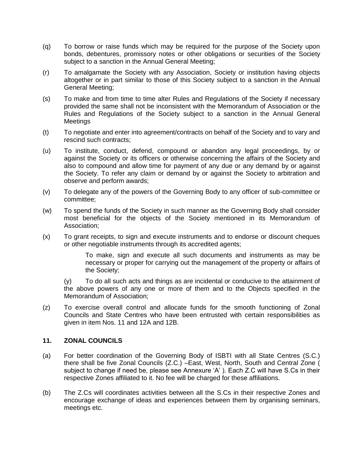- (q) To borrow or raise funds which may be required for the purpose of the Society upon bonds, debentures, promissory notes or other obligations or securities of the Society subject to a sanction in the Annual General Meeting;
- (r) To amalgamate the Society with any Association, Society or institution having objects altogether or in part similar to those of this Society subject to a sanction in the Annual General Meeting;
- (s) To make and from time to time alter Rules and Regulations of the Society if necessary provided the same shall not be inconsistent with the Memorandum of Association or the Rules and Regulations of the Society subject to a sanction in the Annual General **Meetings**
- (t) To negotiate and enter into agreement/contracts on behalf of the Society and to vary and rescind such contracts;
- (u) To institute, conduct, defend, compound or abandon any legal proceedings, by or against the Society or its officers or otherwise concerning the affairs of the Society and also to compound and allow time for payment of any due or any demand by or against the Society. To refer any claim or demand by or against the Society to arbitration and observe and perform awards;
- (v) To delegate any of the powers of the Governing Body to any officer of sub-committee or committee;
- (w) To spend the funds of the Society in such manner as the Governing Body shall consider most beneficial for the objects of the Society mentioned in its Memorandum of Association;
- (x) To grant receipts, to sign and execute instruments and to endorse or discount cheques or other negotiable instruments through its accredited agents;

To make, sign and execute all such documents and instruments as may be necessary or proper for carrying out the management of the property or affairs of the Society;

(y) To do all such acts and things as are incidental or conducive to the attainment of the above powers of any one or more of them and to the Objects specified in the Memorandum of Association;

(z) To exercise overall control and allocate funds for the smooth functioning of Zonal Councils and State Centres who have been entrusted with certain responsibilities as given in item Nos. 11 and 12A and 12B.

#### **11. ZONAL COUNCILS**

- (a) For better coordination of the Governing Body of ISBTI with all State Centres (S.C.) there shall be five Zonal Councils (Z.C.) –East, West, North, South and Central Zone ( subject to change if need be, please see Annexure 'A' ). Each Z.C will have S.Cs in their respective Zones affiliated to it. No fee will be charged for these affiliations.
- (b) The Z.Cs will coordinates activities between all the S.Cs in their respective Zones and encourage exchange of ideas and experiences between them by organising seminars, meetings etc.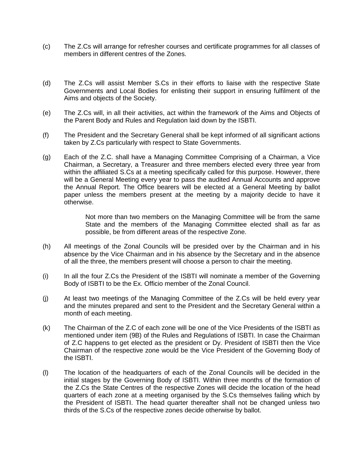- (c) The Z.Cs will arrange for refresher courses and certificate programmes for all classes of members in different centres of the Zones.
- (d) The Z.Cs will assist Member S.Cs in their efforts to liaise with the respective State Governments and Local Bodies for enlisting their support in ensuring fulfilment of the Aims and objects of the Society.
- (e) The Z.Cs will, in all their activities, act within the framework of the Aims and Objects of the Parent Body and Rules and Regulation laid down by the ISBTI.
- (f) The President and the Secretary General shall be kept informed of all significant actions taken by Z.Cs particularly with respect to State Governments.
- (g) Each of the Z.C. shall have a Managing Committee Comprising of a Chairman, a Vice Chairman, a Secretary, a Treasurer and three members elected every three year from within the affiliated S.Cs at a meeting specifically called for this purpose. However, there will be a General Meeting every year to pass the audited Annual Accounts and approve the Annual Report. The Office bearers will be elected at a General Meeting by ballot paper unless the members present at the meeting by a majority decide to have it otherwise.

Not more than two members on the Managing Committee will be from the same State and the members of the Managing Committee elected shall as far as possible, be from different areas of the respective Zone.

- (h) All meetings of the Zonal Councils will be presided over by the Chairman and in his absence by the Vice Chairman and in his absence by the Secretary and in the absence of all the three, the members present will choose a person to chair the meeting.
- (i) In all the four Z.Cs the President of the ISBTI will nominate a member of the Governing Body of ISBTI to be the Ex. Officio member of the Zonal Council.
- (j) At least two meetings of the Managing Committee of the Z.Cs will be held every year and the minutes prepared and sent to the President and the Secretary General within a month of each meeting.
- (k) The Chairman of the Z.C of each zone will be one of the Vice Presidents of the ISBTI as mentioned under item (9B) of the Rules and Regulations of ISBTI. In case the Chairman of Z.C happens to get elected as the president or Dy. President of ISBTI then the Vice Chairman of the respective zone would be the Vice President of the Governing Body of the ISBTI.
- (l) The location of the headquarters of each of the Zonal Councils will be decided in the initial stages by the Governing Body of ISBTI. Within three months of the formation of the Z.Cs the State Centres of the respective Zones will decide the location of the head quarters of each zone at a meeting organised by the S.Cs themselves failing which by the President of ISBTI. The head quarter thereafter shall not be changed unless two thirds of the S.Cs of the respective zones decide otherwise by ballot.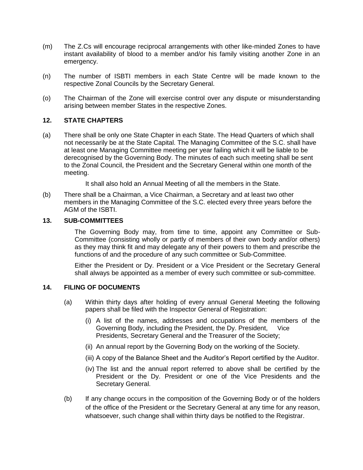- (m) The Z.Cs will encourage reciprocal arrangements with other like-minded Zones to have instant availability of blood to a member and/or his family visiting another Zone in an emergency.
- (n) The number of ISBTI members in each State Centre will be made known to the respective Zonal Councils by the Secretary General.
- (o) The Chairman of the Zone will exercise control over any dispute or misunderstanding arising between member States in the respective Zones.

# **12. STATE CHAPTERS**

- (a) There shall be only one State Chapter in each State. The Head Quarters of which shall not necessarily be at the State Capital. The Managing Committee of the S.C. shall have at least one Managing Committee meeting per year failing which it will be liable to be derecognised by the Governing Body. The minutes of each such meeting shall be sent to the Zonal Council, the President and the Secretary General within one month of the meeting.
	- It shall also hold an Annual Meeting of all the members in the State.
- (b) There shall be a Chairman, a Vice Chairman, a Secretary and at least two other members in the Managing Committee of the S.C. elected every three years before the AGM of the ISBTI.

#### **13. SUB-COMMITTEES**

The Governing Body may, from time to time, appoint any Committee or Sub-Committee (consisting wholly or partly of members of their own body and/or others) as they may think fit and may delegate any of their powers to them and prescribe the functions of and the procedure of any such committee or Sub-Committee.

Either the President or Dy. President or a Vice President or the Secretary General shall always be appointed as a member of every such committee or sub-committee.

#### **14. FILING OF DOCUMENTS**

- (a) Within thirty days after holding of every annual General Meeting the following papers shall be filed with the Inspector General of Registration:
	- (i) A list of the names, addresses and occupations of the members of the Governing Body, including the President, the Dy. President, Vice Presidents, Secretary General and the Treasurer of the Society;
	- (ii) An annual report by the Governing Body on the working of the Society.
	- (iii) A copy of the Balance Sheet and the Auditor's Report certified by the Auditor.
	- (iv) The list and the annual report referred to above shall be certified by the President or the Dy. President or one of the Vice Presidents and the Secretary General.
- (b) If any change occurs in the composition of the Governing Body or of the holders of the office of the President or the Secretary General at any time for any reason, whatsoever, such change shall within thirty days be notified to the Registrar.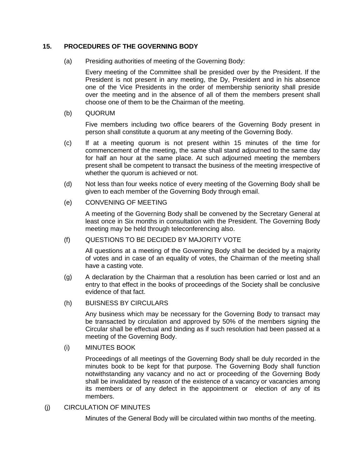# **15. PROCEDURES OF THE GOVERNING BODY**

(a) Presiding authorities of meeting of the Governing Body:

Every meeting of the Committee shall be presided over by the President. If the President is not present in any meeting, the Dy, President and in his absence one of the Vice Presidents in the order of membership seniority shall preside over the meeting and in the absence of all of them the members present shall choose one of them to be the Chairman of the meeting.

(b) QUORUM

Five members including two office bearers of the Governing Body present in person shall constitute a quorum at any meeting of the Governing Body.

- (c) If at a meeting quorum is not present within 15 minutes of the time for commencement of the meeting, the same shall stand adjourned to the same day for half an hour at the same place. At such adjourned meeting the members present shall be competent to transact the business of the meeting irrespective of whether the quorum is achieved or not.
- (d) Not less than four weeks notice of every meeting of the Governing Body shall be given to each member of the Governing Body through email.
- (e) CONVENING OF MEETING

A meeting of the Governing Body shall be convened by the Secretary General at least once in Six months in consultation with the President. The Governing Body meeting may be held through teleconferencing also.

#### (f) QUESTIONS TO BE DECIDED BY MAJORITY VOTE

All questions at a meeting of the Governing Body shall be decided by a majority of votes and in case of an equality of votes, the Chairman of the meeting shall have a casting vote.

- (g) A declaration by the Chairman that a resolution has been carried or lost and an entry to that effect in the books of proceedings of the Society shall be conclusive evidence of that fact.
- (h) BUISNESS BY CIRCULARS

Any business which may be necessary for the Governing Body to transact may be transacted by circulation and approved by 50% of the members signing the Circular shall be effectual and binding as if such resolution had been passed at a meeting of the Governing Body.

(i) MINUTES BOOK

Proceedings of all meetings of the Governing Body shall be duly recorded in the minutes book to be kept for that purpose. The Governing Body shall function notwithstanding any vacancy and no act or proceeding of the Governing Body shall be invalidated by reason of the existence of a vacancy or vacancies among its members or of any defect in the appointment or election of any of its members.

#### (j) CIRCULATION OF MINUTES

Minutes of the General Body will be circulated within two months of the meeting.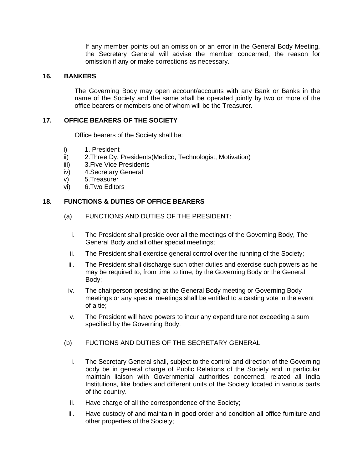If any member points out an omission or an error in the General Body Meeting, the Secretary General will advise the member concerned, the reason for omission if any or make corrections as necessary.

# **16. BANKERS**

The Governing Body may open account/accounts with any Bank or Banks in the name of the Society and the same shall be operated jointly by two or more of the office bearers or members one of whom will be the Treasurer.

# **17. OFFICE BEARERS OF THE SOCIETY**

Office bearers of the Society shall be:

- i) 1. President
- ii) 2.Three Dy. Presidents(Medico, Technologist, Motivation)
- iii) 3.Five Vice Presidents
- iv) 4.Secretary General
- v) 5.Treasurer
- vi) 6.Two Editors

#### **18. FUNCTIONS & DUTIES OF OFFICE BEARERS**

- (a) FUNCTIONS AND DUTIES OF THE PRESIDENT:
	- i. The President shall preside over all the meetings of the Governing Body, The General Body and all other special meetings;
	- ii. The President shall exercise general control over the running of the Society;
	- iii. The President shall discharge such other duties and exercise such powers as he may be required to, from time to time, by the Governing Body or the General Body;
	- iv. The chairperson presiding at the General Body meeting or Governing Body meetings or any special meetings shall be entitled to a casting vote in the event of a tie;
	- v. The President will have powers to incur any expenditure not exceeding a sum specified by the Governing Body.
- (b) FUCTIONS AND DUTIES OF THE SECRETARY GENERAL
	- i. The Secretary General shall, subject to the control and direction of the Governing body be in general charge of Public Relations of the Society and in particular maintain liaison with Governmental authorities concerned, related all India Institutions, like bodies and different units of the Society located in various parts of the country.
	- ii. Have charge of all the correspondence of the Society;
	- iii. Have custody of and maintain in good order and condition all office furniture and other properties of the Society;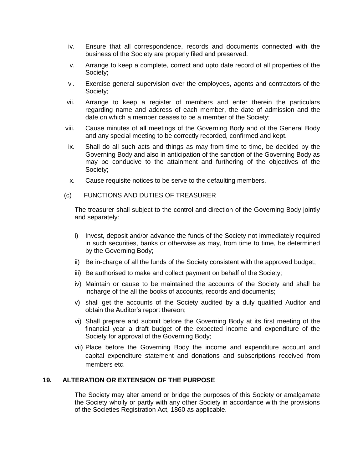- iv. Ensure that all correspondence, records and documents connected with the business of the Society are properly filed and preserved.
- v. Arrange to keep a complete, correct and upto date record of all properties of the Society;
- vi. Exercise general supervision over the employees, agents and contractors of the Society;
- vii. Arrange to keep a register of members and enter therein the particulars regarding name and address of each member, the date of admission and the date on which a member ceases to be a member of the Society;
- viii. Cause minutes of all meetings of the Governing Body and of the General Body and any special meeting to be correctly recorded, confirmed and kept.
- ix. Shall do all such acts and things as may from time to time, be decided by the Governing Body and also in anticipation of the sanction of the Governing Body as may be conducive to the attainment and furthering of the objectives of the Society;
- x. Cause requisite notices to be serve to the defaulting members.
- (c) FUNCTIONS AND DUTIES OF TREASURER

The treasurer shall subject to the control and direction of the Governing Body jointly and separately:

- i) Invest, deposit and/or advance the funds of the Society not immediately required in such securities, banks or otherwise as may, from time to time, be determined by the Governing Body;
- ii) Be in-charge of all the funds of the Society consistent with the approved budget;
- iii) Be authorised to make and collect payment on behalf of the Society;
- iv) Maintain or cause to be maintained the accounts of the Society and shall be incharge of the all the books of accounts, records and documents;
- v) shall get the accounts of the Society audited by a duly qualified Auditor and obtain the Auditor's report thereon;
- vi) Shall prepare and submit before the Governing Body at its first meeting of the financial year a draft budget of the expected income and expenditure of the Society for approval of the Governing Body;
- vii) Place before the Governing Body the income and expenditure account and capital expenditure statement and donations and subscriptions received from members etc.

# **19. ALTERATION OR EXTENSION OF THE PURPOSE**

The Society may alter amend or bridge the purposes of this Society or amalgamate the Society wholly or partly with any other Society in accordance with the provisions of the Societies Registration Act, 1860 as applicable.